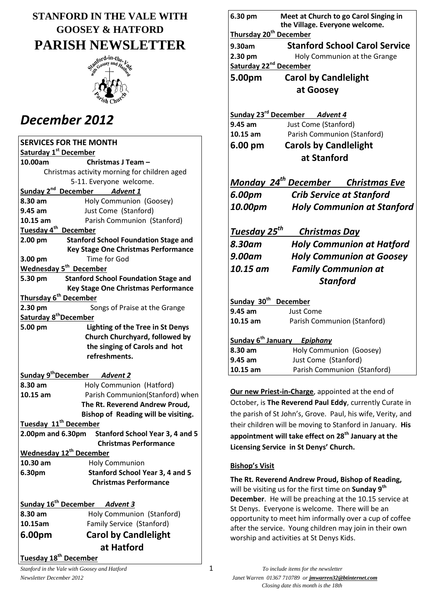# **STANFORD IN THE VALE WITH GOOSEY & HATFORD PARISH NEWSLETTER**



# *December 2012*

| <b>SERVICES FOR THE MONTH</b>                |                                                   |  |  |
|----------------------------------------------|---------------------------------------------------|--|--|
| Saturday 1 <sup>st</sup> December            |                                                   |  |  |
| 10.00am                                      | Christmas J Team -                                |  |  |
| Christmas activity morning for children aged |                                                   |  |  |
|                                              | 5-11. Everyone welcome.                           |  |  |
| Sunday 2 <sup>nd</sup>                       | December Advent 1                                 |  |  |
| 8.30 am                                      | Holy Communion (Goosey)                           |  |  |
| 9.45 am                                      | Just Come (Stanford)                              |  |  |
| 10.15 am                                     | Parish Communion (Stanford)                       |  |  |
| Tuesday 4 <sup>th</sup>                      | <b>December</b>                                   |  |  |
| $2.00$ pm                                    | <b>Stanford School Foundation Stage and</b>       |  |  |
|                                              | <b>Key Stage One Christmas Performance</b>        |  |  |
| 3.00 pm                                      | Time for God                                      |  |  |
|                                              | Wednesday 5 <sup>th</sup> December                |  |  |
| 5.30 pm                                      | <b>Stanford School Foundation Stage and</b>       |  |  |
|                                              | <b>Key Stage One Christmas Performance</b>        |  |  |
|                                              | Thursday 6 <sup>th</sup> December                 |  |  |
| 2.30 pm                                      | Songs of Praise at the Grange                     |  |  |
| Saturday 8 <sup>th</sup> December            |                                                   |  |  |
| 5.00 pm                                      | <b>Lighting of the Tree in St Denys</b>           |  |  |
|                                              | Church Churchyard, followed by                    |  |  |
|                                              | the singing of Carols and hot                     |  |  |
|                                              | refreshments.                                     |  |  |
|                                              |                                                   |  |  |
|                                              | Sunday 9 <sup>th</sup> December Advent 2          |  |  |
| 8.30 am                                      | Holy Communion (Hatford)                          |  |  |
| 10.15 am                                     | Parish Communion(Stanford) when                   |  |  |
|                                              | The Rt. Reverend Andrew Proud,                    |  |  |
|                                              | Bishop of Reading will be visiting.               |  |  |
|                                              | Tuesday 11 <sup>th</sup> December                 |  |  |
|                                              | 2.00pm and 6.30pm Stanford School Year 3, 4 and 5 |  |  |
|                                              | <b>Christmas Performance</b>                      |  |  |
|                                              | Wednesday 12 <sup>th</sup> December               |  |  |
| 10.30 am                                     | <b>Holy Communion</b>                             |  |  |
| 6.30pm                                       | <b>Stanford School Year 3, 4 and 5</b>            |  |  |
|                                              | <b>Christmas Performance</b>                      |  |  |
|                                              |                                                   |  |  |
| Sunday 16 <sup>th</sup> December Advent 3    |                                                   |  |  |
| 8.30 am                                      | Holy Communion (Stanford)                         |  |  |
| 10.15am                                      | Family Service (Stanford)                         |  |  |
| 6.00pm                                       | <b>Carol by Candlelight</b>                       |  |  |
|                                              | at Hatford                                        |  |  |
|                                              |                                                   |  |  |
| Tuesday 18 <sup>th</sup> December            |                                                   |  |  |

| 6.30 pm                            | Meet at Church to go Carol Singing in<br>the Village. Everyone welcome. |  |  |
|------------------------------------|-------------------------------------------------------------------------|--|--|
| Thursday 20 <sup>th</sup> December |                                                                         |  |  |
| 9.30am                             | <b>Stanford School Carol Service</b>                                    |  |  |
| 2.30 pm                            | Holy Communion at the Grange                                            |  |  |
| Saturday 22 <sup>nd</sup> December |                                                                         |  |  |
| 5.00pm                             | <b>Carol by Candlelight</b>                                             |  |  |
|                                    | at Goosey                                                               |  |  |
|                                    |                                                                         |  |  |
|                                    | Sunday 23 <sup>rd</sup> December Advent 4                               |  |  |
| 9.45 am                            | Just Come (Stanford)                                                    |  |  |
| 10.15 am                           | Parish Communion (Stanford)                                             |  |  |
| 6.00 pm                            | <b>Carols by Candlelight</b>                                            |  |  |
| at Stanford                        |                                                                         |  |  |
|                                    |                                                                         |  |  |
|                                    | Monday 24 <sup>th</sup> December Christmas Eve                          |  |  |
| 6.00pm                             | <b>Crib Service at Stanford</b>                                         |  |  |
| 10.00pm                            | <b>Holy Communion at Stanford</b>                                       |  |  |
| <u>Tuesday 25<sup>th</sup></u>     | <u>Christmas Day</u>                                                    |  |  |
| 8.30am                             | <b>Holy Communion at Hatford</b>                                        |  |  |
|                                    |                                                                         |  |  |
| <b>9.00am</b>                      | <b>Holy Communion at Goosey</b>                                         |  |  |
| 10.15 am                           | <b>Family Communion at</b>                                              |  |  |
|                                    | <b>Stanford</b>                                                         |  |  |
| Sunday 30 <sup>th</sup>            | <b>December</b>                                                         |  |  |
| 9.45 am                            | <b>Just Come</b>                                                        |  |  |
| 10.15 am                           | Parish Communion (Stanford)                                             |  |  |
|                                    | <b>Sunday 6<sup>th</sup> January</b> Epiphany                           |  |  |
| 8.30 am                            | Holy Communion (Goosey)                                                 |  |  |
| 9.45 am                            | Just Come (Stanford)                                                    |  |  |
| $10.15$ am                         | Parish Communion (Stanford)                                             |  |  |

**Our new Priest-in-Charge**, appointed at the end of October, is **The Reverend Paul Eddy**, currently Curate in the parish of St John's, Grove. Paul, his wife, Verity, and their children will be moving to Stanford in January. **His appointment will take effect on 28th January at the Licensing Service in St Denys' Church.**

### **Bishop's Visit**

**The Rt. Reverend Andrew Proud, Bishop of Reading,** will be visiting us for the first time on **Sunday 9th December**. He will be preaching at the 10.15 service at St Denys. Everyone is welcome. There will be an opportunity to meet him informally over a cup of coffee after the service. Young children may join in their own worship and activities at St Denys Kids.

*Newsletter December 2012 Janet Warren 01367 710789 or jmwarren32@btinternet.com Closing date this month is the 18th*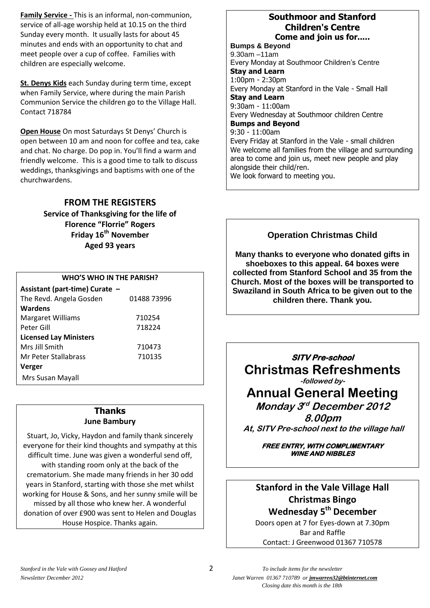**Family Service -** This is an informal, non-communion, service of all-age worship held at 10.15 on the third Sunday every month. It usually lasts for about 45 minutes and ends with an opportunity to chat and meet people over a cup of coffee. Families with children are especially welcome.

**St. Denys Kids** each Sunday during term time, except when Family Service, where during the main Parish Communion Service the children go to the Village Hall. Contact 718784

**Open House** On most Saturdays St Denys' Church is open between 10 am and noon for coffee and tea, cake and chat. No charge. Do pop in. You'll find a warm and friendly welcome. This is a good time to talk to discuss weddings, thanksgivings and baptisms with one of the churchwardens.

### **FROM THE REGISTERS**

**Service of Thanksgiving for the life of Florence "Florrie" Rogers Friday 16th November Aged 93 years**

### **WHO'S WHO IN THE PARISH?**

| Assistant (part-time) Curate - |             |  |  |  |
|--------------------------------|-------------|--|--|--|
| The Revd. Angela Gosden        | 01488 73996 |  |  |  |
| <b>Wardens</b>                 |             |  |  |  |
| <b>Margaret Williams</b>       | 710254      |  |  |  |
| Peter Gill                     | 718224      |  |  |  |
| <b>Licensed Lay Ministers</b>  |             |  |  |  |
| Mrs Jill Smith                 | 710473      |  |  |  |
| Mr Peter Stallabrass           | 710135      |  |  |  |
| Verger                         |             |  |  |  |
| Mrs Susan Mayall               |             |  |  |  |

#### **Thanks June Bambury**

Stuart, Jo, Vicky, Haydon and family thank sincerely everyone for their kind thoughts and sympathy at this difficult time. June was given a wonderful send off, with standing room only at the back of the crematorium. She made many friends in her 30 odd years in Stanford, starting with those she met whilst working for House & Sons, and her sunny smile will be missed by all those who knew her. A wonderful donation of over £900 was sent to Helen and Douglas House Hospice. Thanks again.

### **Southmoor and Stanford Children's Centre Come and join us for.....**

**Bumps & Beyond** 9.30am –11am Every Monday at Southmoor Children's Centre **Stay and Learn** 1:00pm - 2:30pm Every Monday at Stanford in the Vale - Small Hall **Stay and Learn** 9:30am - 11:00am Every Wednesday at Southmoor children Centre **Bumps and Beyond** 9:30 - 11:00am Every Friday at Stanford in the Vale - small children We welcome all families from the village and surrounding area to come and join us, meet new people and play alongside their child/ren. We look forward to meeting you.

### **Operation Christmas Child**

**Many thanks to everyone who donated gifts in shoeboxes to this appeal. 64 boxes were collected from Stanford School and 35 from the Church. Most of the boxes will be transported to Swaziland in South Africa to be given out to the children there. Thank you.**

**SITV Pre-school Christmas Refreshments -followed by-**

**Annual General Meeting**

**Monday 3 rd December 2012**

**8.00pm At, SITV Pre-school next to the village hall**

> **FREE ENTRY, WITH COMPLIMENTARY WINE AND NIBBLES**

**Stanford in the Vale Village Hall Christmas Bingo Wednesday 5th December**

Doors open at 7 for Eyes-down at 7.30pm Bar and Raffle Contact: J Greenwood 01367 710578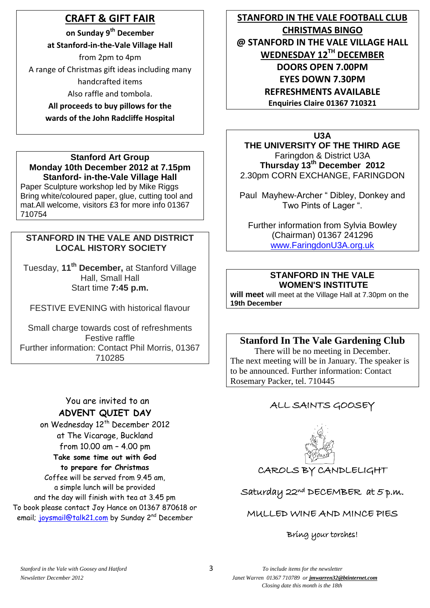# **CRAFT & GIFT FAIR**

**on Sunday 9th December**

**at Stanford-in-the-Vale Village Hall**

from 2pm to 4pm A range of Christmas gift ideas including many handcrafted items

Also raffle and tombola.

**All proceeds to buy pillows for the wards of the John Radcliffe Hospital**

### **Stanford Art Group Monday 10th December 2012 at 7.15pm Stanford- in-the-Vale Village Hall**

Paper Sculpture workshop led by Mike Riggs Bring white/coloured paper, glue, cutting tool and mat.All welcome, visitors £3 for more info 01367 710754

## **STANFORD IN THE VALE AND DISTRICT LOCAL HISTORY SOCIETY**

Tuesday, **11th December,** at Stanford Village Hall, Small Hall Start time **7:45 p.m.**

FESTIVE EVENING with historical flavour

Small charge towards cost of refreshments Festive raffle Further information: Contact Phil Morris, 01367 710285

## You are invited to an **ADVENT QUIET DAY**

on Wednesday 12<sup>th</sup> December 2012 at The Vicarage, Buckland from 10.00 am – 4.00 pm **Take some time out with God to prepare for Christmas** Coffee will be served from 9.45 am, a simple lunch will be provided and the day will finish with tea at 3.45 pm To book please contact Joy Hance on 01367 870618 or email; [joysmail@talk21.com](mailto:joysmail@talk21.com) by Sunday 2<sup>nd</sup> December

**STANFORD IN THE VALE FOOTBALL CLUB CHRISTMAS BINGO @ STANFORD IN THE VALE VILLAGE HALL WEDNESDAY 12TH DECEMBER DOORS OPEN 7.00PM EYES DOWN 7.30PM REFRESHMENTS AVAILABLE Enquiries Claire 01367 710321**

**U3A THE UNIVERSITY OF THE THIRD AGE** Faringdon & District U3A

**Thursday 13th December 2012** 2.30pm CORN EXCHANGE, FARINGDON

Paul Mayhew-Archer " Dibley, Donkey and Two Pints of Lager ".

Further information from Sylvia Bowley (Chairman) 01367 241296 [www.FaringdonU3A.org.uk](http://www.faringdonu3a.org.uk/)

### **STANFORD IN THE VALE WOMEN'S INSTITUTE**

**will meet** will meet at the Village Hall at 7.30pm on the **19th December**

# **Stanford In The Vale Gardening Club**

There will be no meeting in December. The next meeting will be in January. The speaker is to be announced. Further information: Contact Rosemary Packer, tel. 710445

# ALL SAINTS GOOSEY



# CAROLS BY CANDLELIGHT

# Saturday 22nd DECEMBER at 5 p.m.

# MULLED WINE AND MINCE PIES

### Bring your torches!